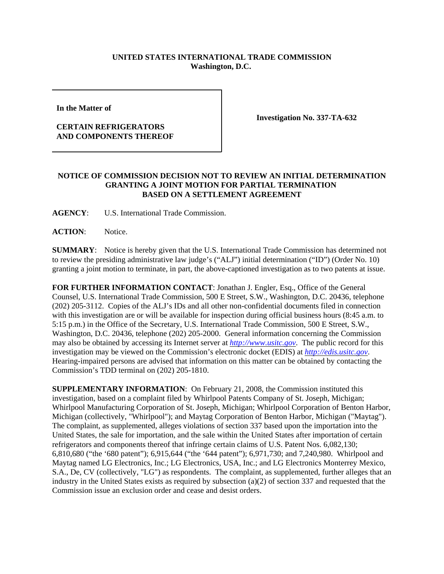## **UNITED STATES INTERNATIONAL TRADE COMMISSION Washington, D.C.**

**In the Matter of** 

## **CERTAIN REFRIGERATORS AND COMPONENTS THEREOF**

**Investigation No. 337-TA-632**

## **NOTICE OF COMMISSION DECISION NOT TO REVIEW AN INITIAL DETERMINATION GRANTING A JOINT MOTION FOR PARTIAL TERMINATION BASED ON A SETTLEMENT AGREEMENT**

**AGENCY**: U.S. International Trade Commission.

**ACTION**: Notice.

**SUMMARY**: Notice is hereby given that the U.S. International Trade Commission has determined not to review the presiding administrative law judge's ("ALJ") initial determination ("ID") (Order No. 10) granting a joint motion to terminate, in part, the above-captioned investigation as to two patents at issue.

**FOR FURTHER INFORMATION CONTACT**: Jonathan J. Engler, Esq., Office of the General Counsel, U.S. International Trade Commission, 500 E Street, S.W., Washington, D.C. 20436, telephone (202) 205-3112. Copies of the ALJ's IDs and all other non-confidential documents filed in connection with this investigation are or will be available for inspection during official business hours (8:45 a.m. to 5:15 p.m.) in the Office of the Secretary, U.S. International Trade Commission, 500 E Street, S.W., Washington, D.C. 20436, telephone (202) 205-2000. General information concerning the Commission may also be obtained by accessing its Internet server at *http://www.usitc.gov*. The public record for this investigation may be viewed on the Commission's electronic docket (EDIS) at *http://edis.usitc.gov*. Hearing-impaired persons are advised that information on this matter can be obtained by contacting the Commission's TDD terminal on (202) 205-1810.

**SUPPLEMENTARY INFORMATION**: On February 21, 2008, the Commission instituted this investigation, based on a complaint filed by Whirlpool Patents Company of St. Joseph, Michigan; Whirlpool Manufacturing Corporation of St. Joseph, Michigan; Whirlpool Corporation of Benton Harbor, Michigan (collectively, "Whirlpool"); and Maytag Corporation of Benton Harbor, Michigan ("Maytag"). The complaint, as supplemented, alleges violations of section 337 based upon the importation into the United States, the sale for importation, and the sale within the United States after importation of certain refrigerators and components thereof that infringe certain claims of U.S. Patent Nos. 6,082,130; 6,810,680 ("the '680 patent"); 6,915,644 ("the '644 patent"); 6,971,730; and 7,240,980. Whirlpool and Maytag named LG Electronics, Inc.; LG Electronics, USA, Inc.; and LG Electronics Monterrey Mexico, S.A., De, CV (collectively, "LG") as respondents. The complaint, as supplemented, further alleges that an industry in the United States exists as required by subsection  $(a)(2)$  of section 337 and requested that the Commission issue an exclusion order and cease and desist orders.